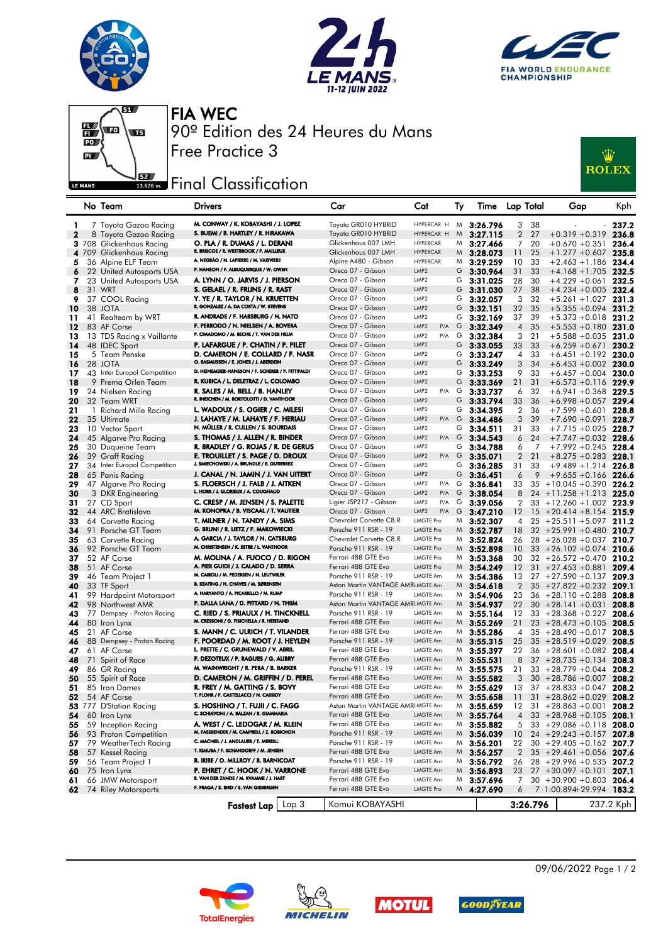







FIA WEC 90º Edition des 24 Heures du Mans Free Practice 3

## **EREAD** Final Classification

| :W           |
|--------------|
| <b>ROLEX</b> |
|              |

|              | No Team                         | <b>Drivers</b>                                                                  | Car                                         | Cat                           | Ту     | Time                 | <b>Lap Total</b> |          | Gap                                        | <b>Kph</b>     |
|--------------|---------------------------------|---------------------------------------------------------------------------------|---------------------------------------------|-------------------------------|--------|----------------------|------------------|----------|--------------------------------------------|----------------|
| 1            | 7 Toyota Gazoo Racing           | M. CONWAY / K. KOBAYASHI / J. LOPEZ                                             | Toyota GR010 HYBRID                         | HYPERCAR H                    | M      | 3:26.796             | 3                | 38       |                                            | 237.2          |
| $\mathbf{z}$ | 8 Toyota Gazoo Racing           | S. BUEMI / B. HARTLEY / R. HIRAKAWA                                             | Toyota GR010 HYBRID                         | HYPERCAR H                    | M      | 3:27.115             | $\overline{2}$   | 27       | $+0.319 + 0.319$                           | 236.8          |
|              | <b>3</b> 708 Glickenhaus Racing | O. PLA / R. DUMAS / L. DERANI                                                   | Glickenhaus 007 LMH                         | <b>HYPERCAR</b>               | M      | 3:27.466             | 7                | 20       | $+0.670 +0.351$                            | 236.4          |
|              | 4 709 Glickenhaus Racing        | R. BRISCOE / R. WESTBROOK / F. MAILLEUX                                         | Glickenhaus 007 LMH                         | <b>HYPERCAR</b>               | M      | 3:28.073             | 11               | 25       | $+1.277 + 0.607$ 235.8                     |                |
| 5            | 36 Alpine ELF Team              | A. NEGRÃO / N. LAPIERRE / M. VAXIVIERE                                          | Alpine A480 - Gibson                        | <b>HYPERCAR</b>               | M      | 3:29.259             | 10               | 33       | $+2.463 + 1.186$                           | 234.4          |
| 6            | 22 United Autosports USA        | P. HANSON / F. ALBUQUERQUE / W. OWEN                                            | Oreca 07 - Gibson                           | LMP <sub>2</sub>              | G      | 3:30.964             | 31               | 33       | $+4.168 + 1.705$                           | 232.5          |
| 7            | 23 United Autosports USA        | A. LYNN / O. JARVIS / J. PIERSON                                                | Oreca 07 - Gibson                           | LMP <sub>2</sub>              | G      | 3:31.025             | 28               | 30       | $+4.229 + 0.061$ 232.5                     |                |
| 8            | 31 WRT                          | S. GELAEL / R. FRIJNS / R. RAST                                                 | Oreca 07 - Gibson                           | LMP <sub>2</sub>              | G      | 3:31.030             | 27               | 38       | $+4.234 + 0.005$                           | 232.4          |
| 9            | 37 COOL Racing                  | Y. YE / R. TAYLOR / N. KRUETTEN                                                 | Oreca 07 - Gibson                           | LMP <sub>2</sub>              | G      | 3:32.057             | 3                | 32       | +5.261 +1.027                              | 231.3          |
| 10           | 38 JOTA                         | R. GONZALEZ / A. DA COSTA / W. STEVENS                                          | Oreca 07 - Gibson                           | LMP <sub>2</sub>              | G      | 3:32.151             | 32               | 35       | $+5.355 + 0.094$ 231.2                     |                |
| 11           | 41 Realteam by WRT              | R. ANDRADE / F. HABSBURG / N. NATO                                              | Oreca 07 - Gibson                           | LMP <sub>2</sub>              | G      | 3:32.169             | 37               | 39       | $+5.373 + 0.018$                           | 231.2          |
| 12           | 83 AF Corse                     | F. PERRODO / N. NIELSEN / A. ROVERA                                             | Oreca 07 - Gibson                           | LMP <sub>2</sub><br>P/A       | G      | 3:32.349             | $\overline{4}$   | 35       | $+5.553 + 0.180$ 231.0                     |                |
| 13           | 13 TDS Racing x Vaillante       | P. CIMADOMO / M. BECHE / T. VAN DER HELM                                        | Oreca 07 - Gibson                           | LMP <sub>2</sub><br>P/A       | G      | 3:32.384             | 3                | 21       | $+5.588 + 0.035$                           | 231.0          |
| 14           | 48 IDEC Sport                   | P. LAFARGUE / P. CHATIN / P. PILET                                              | Oreca 07 - Gibson                           | LMP <sub>2</sub>              | G      | 3:33.055             | 33               | 33       | $+6.259 + 0.671$                           | 230.2          |
| 15           | 5 Team Penske                   | D. CAMERON / E. COLLARD / F. NASR                                               | Oreca 07 - Gibson                           | LMP <sub>2</sub>              | G      | 3:33.247             | 4                | 33       | $+6.451 + 0.192$ 230.0                     |                |
| 16           | 28 JOTA                         | O. RASMUSSEN / E. JONES / J. ABERDEIN                                           | Oreca 07 - Gibson                           | LMP <sub>2</sub>              | G      | 3:33.249             | 3                | 34       | $+6.453 + 0.002$                           | 230.0          |
| 17           | 43 Inter Europol Competition    | D. HEINEMEIER-HANSSON / F. SCHERER / P. FITTIPALDI                              | Oreca 07 - Gibson                           | LMP <sub>2</sub>              | G      | 3:33.253             | 9                | 33       | $+6.457 + 0.004$                           | 230.0          |
| 18           | 9 Prema Orlen Team              | R. KUBICA / L. DELETRAZ / L. COLOMBO                                            | Oreca 07 - Gibson                           | LMP <sub>2</sub>              | G      | 3:33.369             | 21               | 31       | $+6.573 + 0.116$                           | -229.9         |
| 19           | 24 Nielsen Racing               | R. SALES / M. BELL / B. HANLEY                                                  | Oreca 07 - Gibson                           | LMP <sub>2</sub><br>P/A       | G      | 3:33.737             | 6                | 32       | $+6.941 + 0.368$                           | 229.5          |
| 20           | 32 Team WRT                     | R. INEICHEN / M. BORTOLOTTI / D. VANTHOOR                                       | Oreca 07 - Gibson                           | LMP <sub>2</sub>              | G      | 3:33.794             | 33               | 36       | $+6.998 + 0.057$ 229.4                     |                |
| 21           | 1 Richard Mille Racing          | L. WADOUX / S. OGIER / C. MILESI                                                | Oreca 07 - Gibson                           | LMP <sub>2</sub>              | G      | 3:34.395             | $\overline{2}$   | 36       | $+7.599 + 0.601$                           | 228.8          |
| 22           | 35 Ultimate                     | J. LAHAYE / M. LAHAYE / F. HERIAU                                               | Oreca 07 - Gibson                           | LMP <sub>2</sub><br>P/A       | G      | 3:34.486             | 3                | 39       | $+7.690 + 0.091$                           | 228.7          |
| 23           | 10 Vector Sport                 | N. MÜLLER / R. CULLEN / S. BOURDAIS                                             | Oreca 07 - Gibson                           | LMP <sub>2</sub>              | G      | 3:34.511             | 31               | 33       | $+7.715 + 0.025$ 228.7                     |                |
| 24           | 45 Algarve Pro Racing           | S. THOMAS / J. ALLEN / R. BINDER                                                | Oreca 07 - Gibson                           | LMP <sub>2</sub><br>P/A       | G      | 3:34.543             | 6                | 24       | $+7.747 + 0.032$                           | 228.6          |
| 25           | 30 Duqueine Team                | R. BRADLEY / G. ROJAS / R. DE GERUS                                             | Oreca 07 - Gibson                           | LMP <sub>2</sub>              | G      | 3:34.788             | 6                | 7        | $+7.992 + 0.245$ 228.4                     |                |
| 26           | 39 Graff Racing                 | E. TROUILLET / S. PAGE / D. DROUX                                               | Oreca 07 - Gibson                           | LMP <sub>2</sub><br>$P/A$ $G$ |        | 3:35.071             | $\overline{2}$   | 21       | $+8.275 + 0.283$ 228.1                     |                |
| 27           | 34 Inter Europol Competition    | J. SMIECHOWSKI / A. BRUNDLE / E. GUTIERREZ                                      | Oreca 07 - Gibson                           | LMP <sub>2</sub>              | G      | 3:36.285             | 31               | 33       | $+9.489 + 1.214$                           | 226.8          |
| 28           | 65 Panis Racing                 | J. CANAL / N. JAMIN / J. VAN UITERT                                             | Oreca 07 - Gibson                           | LMP <sub>2</sub>              | G      | 3:36.451             | 6                | 9        | $+9.655 + 0.166$ 226.6                     |                |
| 29           | 47 Algarve Pro Racing           | S. FLOERSCH / J. FALB / J. AITKEN                                               | Oreca 07 - Gibson                           | LMP <sub>2</sub><br>P/A       | G      | 3:36.841             | 33               |          | $35 + 10.045 + 0.390$                      | 226.2          |
| 30           | 3 DKR Engineering               | L. HORR / J. GLORIEUX / A. COUGNAUD                                             | Oreca 07 - Gibson                           | LMP <sub>2</sub><br>P/A       | G      | 3:38.054             | 8                |          | $24 + 11.258 + 1.213$                      | 225.0          |
| 31           | 27 CD Sport                     | C. CRESP / M. JENSEN / S. PALETTE                                               | Ligier JSP217 - Gibson                      | LMP <sub>2</sub><br>P/A       | G      | 3:39.056             | 2                |          | $33 + 12.260 + 1.002$ 223.9                |                |
| 32           | 44 ARC Bratislava               | M. KONOPKA / B. VISCAAL / T. VAUTIER                                            | Oreca 07 - Gibson                           | LMP <sub>2</sub><br>P/A       | G      | 3:47.210             | 12               | 15       | $+20.414 + 8.154$                          | 215.9          |
| 33           | 64 Corvette Racing              | T. MILNER / N. TANDY / A. SIMS                                                  | Chevrolet Corvette C8.R                     | <b>LMGTE Pro</b>              | M      | 3:52.307             | 4                |          | $25 + 25.511 + 5.097$                      | 211.2          |
| 34           | 91 Porsche GT Team              | G. BRUNI / R. LIETZ / F. MAKOWIECKI                                             | Porsche 911 RSR - 19                        | <b>LMGTE Pro</b>              |        | $M$ 3:52.787         | 18               |          | $32 + 25.991 + 0.480$                      | 210.7          |
| 35           | 63 Corvette Racing              | A. GARCIA / J. TAYLOR / N. CATSBURG<br>M. CHRISTENSEN / K. ESTRE / L. VANTHOOR  | Chevrolet Corvette C8.R                     | LMGTE Pro<br><b>LMGTE Pro</b> | M      | 3:52.824             | 26               |          | $28 + 26.028 + 0.037$                      | 210.7          |
| 36           | 92 Porsche GT Team              | M. MOLINA / A. FUOCO / D. RIGON                                                 | Porsche 911 RSR - 19<br>Ferrari 488 GTE Evo | LMGTE Pro                     | M<br>M | 3:52.898             | 10               |          | $33 + 26.102 + 0.074$ 210.6                |                |
| 37<br>38     | 52 AF Corse<br>51 AF Corse      | A. PIER GUIDI / J. CALADO / D. SERRA                                            | Ferrari 488 GTE Evo                         | <b>LMGTE Pro</b>              | M      | 3:53.368<br>3:54.249 | 30<br>12         | 31       | $32 + 26.572 + 0.470$<br>$+27.453 + 0.881$ | 210.2<br>209.4 |
| 39           | 46 Team Project 1               | M. CAIROLI / M. PEDERSEN / N. LEUTWILER                                         | Porsche 911 RSR - 19                        | LMGTE Am                      | M      | 3:54.386             | 13               |          | $27 + 27.590 + 0.137$                      | 209.3          |
| 40           | 33 TF Sport                     | B. KEATING / H. CHAVES / M. SØRENSEN                                            | Aston Martin VANTAGE AMRLMGTE Am            |                               | M      | 3:54.618             | $\overline{2}$   |          | $35 + 27.822 + 0.232$                      | 209.1          |
| 41           | 99 Hardpoint Motorsport         | A. HARYANTO / A. PICARIELLO / M. RUMP                                           | Porsche 911 RSR - 19                        | <b>LMGTE Am</b>               | M      | 3:54.906             | 23               |          | $36 + 28.110 + 0.288$                      | 208.8          |
| 42           | 98 Northwest AMR                | P. DALLA LANA / D. PITTARD / N. THIIM                                           | Aston Martin VANTAGE AMRLMGTE Am            |                               | M      | 3:54.937             | 22               |          | $30 + 28.141 + 0.031$                      | 208.8          |
| 43           | 77 Dempsey - Proton Racing      | C. RIED / S. PRIAULX / H. TINCKNELL                                             | Porsche 911 RSR - 19                        | LMGTE Am                      | M      | 3:55.164             | 12               |          | $33 + 28.368 + 0.227$                      | 208.6          |
| 44           | 80 Iron Lynx                    | M. CRESSONI / G. FISICHELLA / R. HEISTAND                                       | Ferrari 488 GTE Evo                         | <b>LMGTE Am</b>               | M      | 3:55.269             | 21               |          | $23 + 28.473 + 0.105$                      | 208.5          |
| 45           | 21 AF Corse                     | S. MANN / C. ULRICH / T. VILANDER                                               | Ferrari 488 GTE Evo                         | LMGTE Am                      | M      | 3:55.286             | 4                |          | $35 + 28.490 + 0.017$                      | 208.5          |
| 46           | 88 Dempsey - Proton Racing      | F. POORDAD / M. ROOT / J. HEYLEN                                                | Porsche 911 RSR - 19                        | <b>LMGTE Am</b>               | M      | 3:55.315             | 25               |          | $35 + 28.519 + 0.029$                      | 208.5          |
| 47           | 61 AF Corse                     | L. PRETTE / C. GRUNEWALD / V. ABRIL                                             | Ferrari 488 GTE Evo                         | LMGTE Am                      | M      | 3:55.397             | 22               |          | $36 + 28.601 + 0.082$                      | 208.4          |
| 48           | 71 Spirit of Race               | F. DEZOTEUX / P. RAGUES / G. AUBRY                                              | Ferrari 488 GTE Evo                         | LMGTE Am                      | M      | 3:55.531             | 8                |          | $37 + 28.735 + 0.134$                      | 208.3          |
| 49           | 86 GR Racing                    | M. WAINWRIGHT / R. PERA / B. BARKER                                             | Porsche 911 RSR - 19                        | <b>LMGTE Am</b>               | M      | 3:55.575             | 21               |          | $33 + 28.779 + 0.044$                      | 208.2          |
| 50           | 55 Spirit of Race               | D. CAMERON / M. GRIFFIN / D. PEREL                                              | Ferrari 488 GTE Evo                         | <b>LMGTE Am</b>               | M      | 3:55.582             | 3                |          | $30 + 28.786 + 0.007$                      | 208.2          |
| 51           | 85 Iron Dames                   | R. FREY / M. GATTING / S. BOVY                                                  | Ferrari 488 GTE Evo                         | LMGTE Am                      | M      | 3:55.629             | 13               |          | $37 + 28.833 + 0.047$                      | 208.2          |
| 52           | 54 AF Corse                     | T. FLOHR / F. CASTELLACCI / N. CASSIDY                                          | Ferrari 488 GTE Evo                         | <b>LMGTE Am</b>               |        | $M$ 3:55.658         | 11               |          | $31 + 28.862 + 0.029$ 208.2                |                |
|              | 53 777 D'Station Racing         | S. HOSHINO / T. FUJII / C. FAGG                                                 | Aston Martin VANTAGE AMRLMGTE Am            |                               | M      | 3:55.659             | 12               |          | $31 + 28.863 + 0.001$                      | 208.2          |
| 54           | 60 Iron Lynx                    | C. SCHIAVONI / A. BALZAN / R. GIAMMARIA                                         | Ferrari 488 GTE Evo                         | <b>LMGTE Am</b>               |        | $M$ 3:55.764         | 4                |          | $33 + 28.968 + 0.105$                      | 208.1          |
| 55           | 59 Inception Racing             | A. WEST / C. LEDOGAR / M. KLEIN                                                 | Ferrari 488 GTE Evo                         | LMGTE Am                      | M      | 3:55.882             | 5                |          | $33 + 29.086 + 0.118$ 208.0                |                |
| 56           | 93 Proton Competition           | M. FASSBENDER / M. CAMPBELL / Z. ROBICHON                                       | Porsche 911 RSR - 19                        | LMGTE Am                      | M.     | 3:56.039             | 10               |          | $24 + 29.243 + 0.157$                      | 207.8          |
| 57           | 79 WeatherTech Racing           | C. MACNEIL / J. ANDLAUER / T. MERRILL                                           | Porsche 911 RSR - 19                        | LMGTE Am                      | M      | 3:56.201             | 22               |          | $30 + 29.405 + 0.162$                      | 207.7          |
| 58           | 57 Kessel Racing                | T. KIMURA / F. SCHANDORFF / M. JENSEN                                           | Ferrari 488 GTE Evo                         | LMGTE Am                      |        | $M$ 3:56.257         | $\overline{2}$   |          | $35 + 29.461 + 0.056$ 207.6                |                |
| 59           | 56 Team Project 1               | <b>B. IRIBE / O. MILLROY / B. BARNICOAT</b>                                     | Porsche 911 RSR - 19                        | LMGTE Am                      | M      | 3:56.792             | 26               |          | $28 + 29.996 + 0.535$                      | 207.2          |
| 60           | 75 Iron Lynx                    | P. EHRET / C. HOOK / N. VARRONE                                                 | Ferrari 488 GTE Evo                         | LMGTE Am                      |        | $M$ 3:56.893         | 23               |          | $27 + 30.097 + 0.101$                      | 207.1          |
| 61           | 66 JMW Motorsport               | R. VAN DER ZANDE / M. KVAMME / J. HART<br>F. FRAGA / S. BIRD / S. VAN GISBERGEN | Ferrari 488 GTE Evo                         | LMGTE Am                      | M      | 3:57.696             | 7                |          | $30 + 30.900 + 0.803$ 206.4                |                |
| 62           | 74 Riley Motorsports            |                                                                                 | Ferrari 488 GTE Evo                         | <b>LMGTE Pro</b>              |        | $M$ 4:27.690         | 6                |          | 7-1:00.894+29.994                          | 183.2          |
|              |                                 | Lap 3<br><b>Fastest Lap</b>                                                     | Kamui KOBAYASHI                             |                               |        |                      |                  | 3:26.796 |                                            | 237.2 Kph      |









09/06/2022 Page 1 / 2